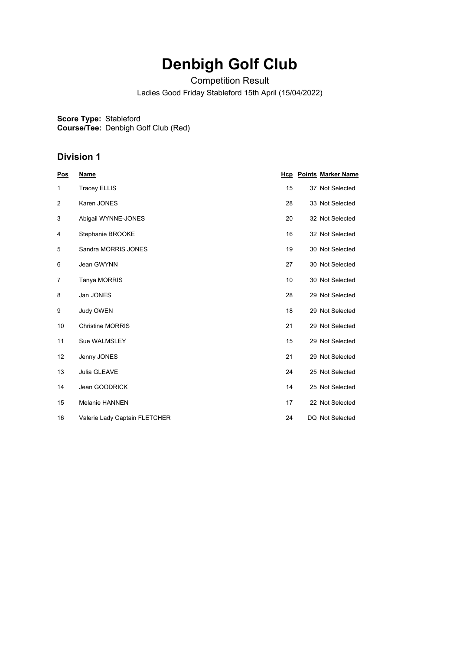# **Denbigh Golf Club**

Competition Result

Ladies Good Friday Stableford 15th April (15/04/2022)

**Score Type: Course/Tee:** Stableford Denbigh Golf Club (Red)

#### **Division 1**

| Pos | <b>Name</b>                   | Hcp | <b>Points Marker Name</b> |
|-----|-------------------------------|-----|---------------------------|
| 1   | <b>Tracey ELLIS</b>           | 15  | 37 Not Selected           |
| 2   | Karen JONES                   | 28  | 33 Not Selected           |
| 3   | Abigail WYNNE-JONES           | 20  | 32 Not Selected           |
| 4   | Stephanie BROOKE              | 16  | 32 Not Selected           |
| 5   | Sandra MORRIS JONES           | 19  | 30 Not Selected           |
| 6   | Jean GWYNN                    | 27  | 30 Not Selected           |
| 7   | Tanya MORRIS                  | 10  | 30 Not Selected           |
| 8   | Jan JONES                     | 28  | 29 Not Selected           |
| 9   | <b>Judy OWEN</b>              | 18  | 29 Not Selected           |
| 10  | <b>Christine MORRIS</b>       | 21  | 29 Not Selected           |
| 11  | Sue WALMSLEY                  | 15  | 29 Not Selected           |
| 12  | Jenny JONES                   | 21  | 29 Not Selected           |
| 13  | Julia GLEAVE                  | 24  | 25 Not Selected           |
| 14  | Jean GOODRICK                 | 14  | 25 Not Selected           |
| 15  | <b>Melanie HANNEN</b>         | 17  | 22 Not Selected           |
| 16  | Valerie Lady Captain FLETCHER | 24  | DQ Not Selected           |